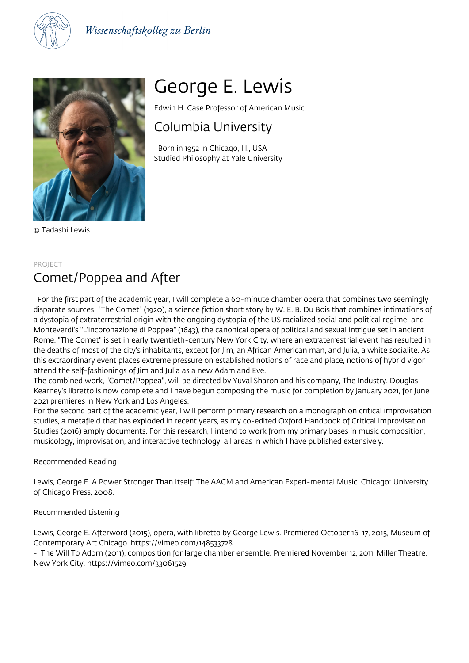



© Tadashi Lewis

# George E. Lewis

Edwin H. Case Professor of American Music

# Columbia University

 Born in 1952 in Chicago, Ill., USA Studied Philosophy at Yale University

#### PROJECT

# Comet/Poppea and After

 For the first part of the academic year, I will complete a 60-minute chamber opera that combines two seemingly disparate sources: "The Comet" (1920), a science fiction short story by W. E. B. Du Bois that combines intimations of a dystopia of extraterrestrial origin with the ongoing dystopia of the US racialized social and political regime; and Monteverdi's "L'incoronazione di Poppea" (1643), the canonical opera of political and sexual intrigue set in ancient Rome. "The Comet" is set in early twentieth-century New York City, where an extraterrestrial event has resulted in the deaths of most of the city's inhabitants, except for Jim, an African American man, and Julia, a white socialite. As this extraordinary event places extreme pressure on established notions of race and place, notions of hybrid vigor attend the self-fashionings of Jim and Julia as a new Adam and Eve.

The combined work, "Comet/Poppea", will be directed by Yuval Sharon and his company, The Industry. Douglas Kearney's libretto is now complete and I have begun composing the music for completion by January 2021, for June 2021 premieres in New York and Los Angeles.

For the second part of the academic year, I will perform primary research on a monograph on critical improvisation studies, a metafield that has exploded in recent years, as my co-edited Oxford Handbook of Critical Improvisation Studies (2016) amply documents. For this research, I intend to work from my primary bases in music composition, musicology, improvisation, and interactive technology, all areas in which I have published extensively.

# Recommended Reading

Lewis, George E. A Power Stronger Than Itself: The AACM and American Experi-mental Music. Chicago: University of Chicago Press, 2008.

# Recommended Listening

Lewis, George E. Afterword (2015), opera, with libretto by George Lewis. Premiered October 16-17, 2015, Museum of Contemporary Art Chicago. https://vimeo.com/148533728.

-. The Will To Adorn (2011), composition for large chamber ensemble. Premiered November 12, 2011, Miller Theatre, New York City. https://vimeo.com/33061529.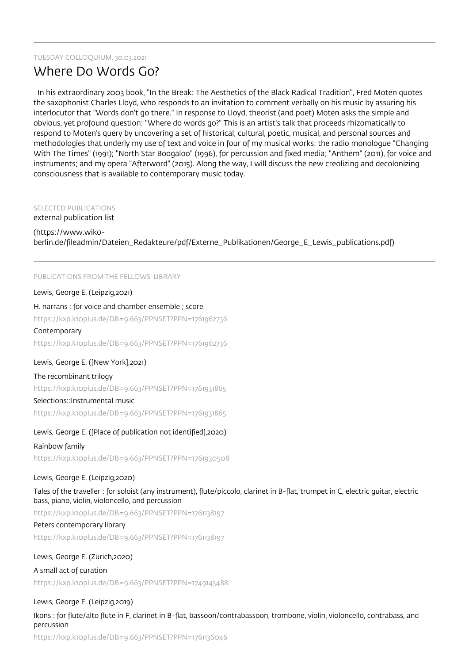### TUESDAY COLLOQUIUM, 30.03.2021

# Where Do Words Go?

 In his extraordinary 2003 book, "In the Break: The Aesthetics of the Black Radical Tradition", Fred Moten quotes the saxophonist Charles Lloyd, who responds to an invitation to comment verbally on his music by assuring his interlocutor that "Words don't go there." In response to Lloyd, theorist (and poet) Moten asks the simple and obvious, yet profound question: "Where do words go?" This is an artist's talk that proceeds rhizomatically to respond to Moten's query by uncovering a set of historical, cultural, poetic, musical, and personal sources and methodologies that underly my use of text and voice in four of my musical works: the radio monologue "Changing With The Times" (1991); "North Star Boogaloo" (1996), for percussion and fixed media; "Anthem" (2011), for voice and instruments; and my opera "Afterword" (2015). Along the way, I will discuss the new creolizing and decolonizing consciousness that is available to contemporary music today.

# SELECTED PUBLICATIONS

external publication list

#### (https://www.wiko-

berlin.de/fileadmin/Dateien\_Redakteure/pdf/Externe\_Publikationen/George\_E\_Lewis\_publications.pdf)

#### PUBLICATIONS FROM THE FELLOWS' LIBRARY

#### Lewis, George E. (Leipzig,2021)

#### H. narrans : for voice and chamber ensemble ; score

https://kxp.k10plus.de/DB=9.663/PPNSET?PPN=1761962736

#### Contemporary

https://kxp.k10plus.de/DB=9.663/PPNSET?PPN=1761962736

#### Lewis, George E. ([New York],2021)

#### The recombinant trilogy

https://kxp.k10plus.de/DB=9.663/PPNSET?PPN=1761931865

#### Selections::Instrumental music

https://kxp.k10plus.de/DB=9.663/PPNSET?PPN=1761931865

#### Lewis, George E. ([Place of publication not identified],2020)

#### Rainbow family

https://kxp.k10plus.de/DB=9.663/PPNSET?PPN=1761930508

# Lewis, George E. (Leipzig,2020)

Tales of the traveller : for soloist (any instrument), flute/piccolo, clarinet in B-flat, trumpet in C, electric guitar, electric bass, piano, violin, violoncello, and percussion

https://kxp.k10plus.de/DB=9.663/PPNSET?PPN=1761138197

# Peters contemporary library

https://kxp.k10plus.de/DB=9.663/PPNSET?PPN=1761138197

# Lewis, George E. (Zürich,2020)

A small act of curation https://kxp.k10plus.de/DB=9.663/PPNSET?PPN=1749143488

# Lewis, George E. (Leipzig,2019)

Ikons : for flute/alto flute in F, clarinet in B-flat, bassoon/contrabassoon, trombone, violin, violoncello, contrabass, and percussion

https://kxp.k10plus.de/DB=9.663/PPNSET?PPN=1761136046